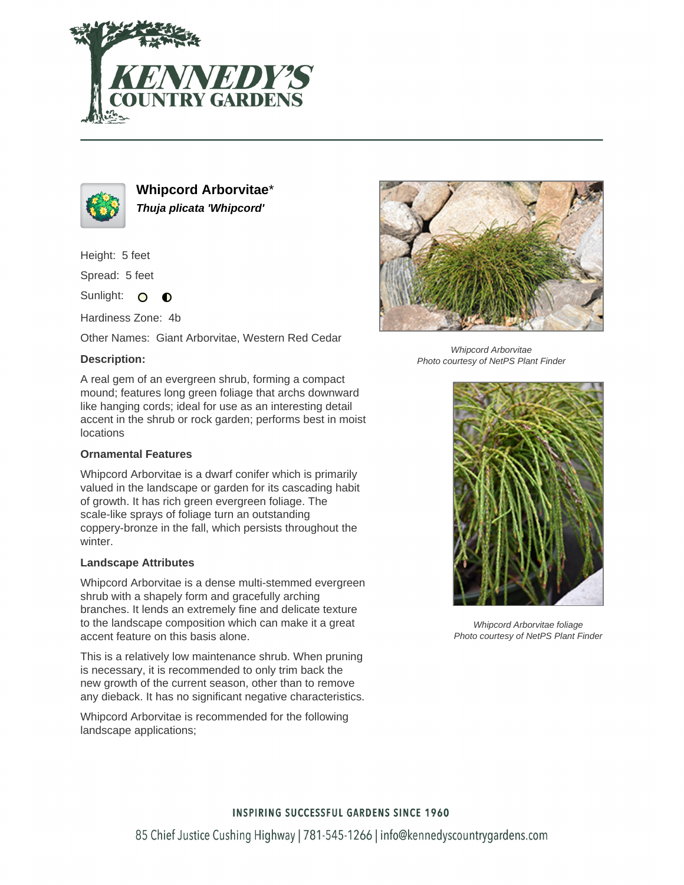



**Whipcord Arborvitae**\* **Thuja plicata 'Whipcord'**

Height: 5 feet

Spread: 5 feet

Sunlight: O  $\bullet$ 

Hardiness Zone: 4b

Other Names: Giant Arborvitae, Western Red Cedar

## **Description:**

A real gem of an evergreen shrub, forming a compact mound; features long green foliage that archs downward like hanging cords; ideal for use as an interesting detail accent in the shrub or rock garden; performs best in moist locations

### **Ornamental Features**

Whipcord Arborvitae is a dwarf conifer which is primarily valued in the landscape or garden for its cascading habit of growth. It has rich green evergreen foliage. The scale-like sprays of foliage turn an outstanding coppery-bronze in the fall, which persists throughout the winter.

### **Landscape Attributes**

Whipcord Arborvitae is a dense multi-stemmed evergreen shrub with a shapely form and gracefully arching branches. It lends an extremely fine and delicate texture to the landscape composition which can make it a great accent feature on this basis alone.

This is a relatively low maintenance shrub. When pruning is necessary, it is recommended to only trim back the new growth of the current season, other than to remove any dieback. It has no significant negative characteristics.

Whipcord Arborvitae is recommended for the following landscape applications;



Whipcord Arborvitae Photo courtesy of NetPS Plant Finder



Whipcord Arborvitae foliage Photo courtesy of NetPS Plant Finder

# **INSPIRING SUCCESSFUL GARDENS SINCE 1960**